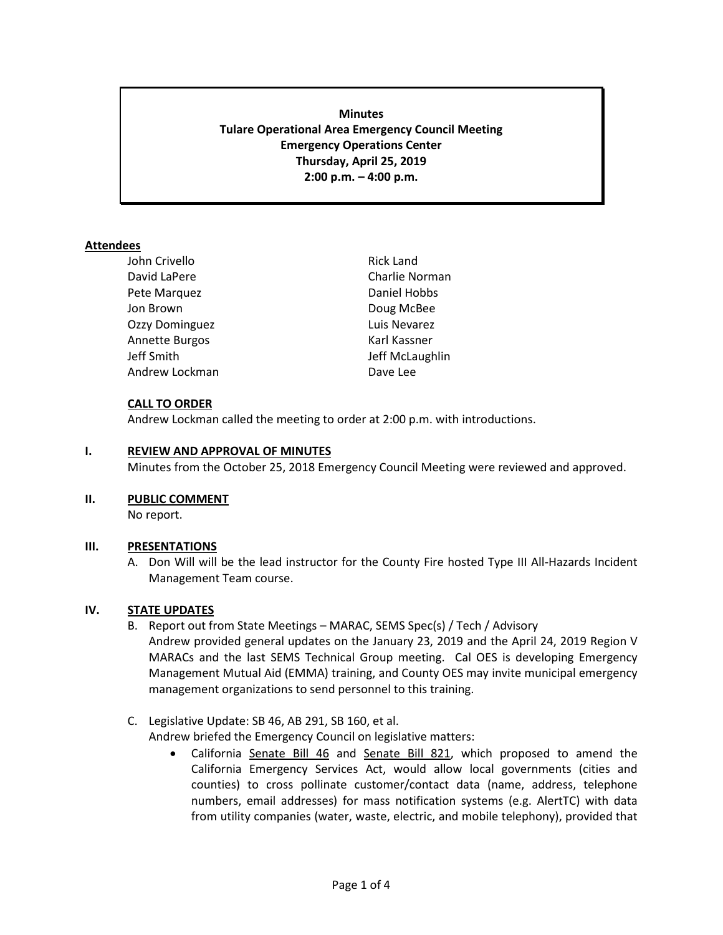# **Minutes Tulare Operational Area Emergency Council Meeting Emergency Operations Center Thursday, April 25, 2019 2:00 p.m. – 4:00 p.m.**

## **Attendees**

| John Crivello  | <b>Rick Land</b> |
|----------------|------------------|
| David LaPere   | Charlie Norman   |
| Pete Marquez   | Daniel Hobbs     |
| Jon Brown      | Doug McBee       |
| Ozzy Dominguez | Luis Nevarez     |
| Annette Burgos | Karl Kassner     |
| Jeff Smith     | Jeff McLaughlin  |
| Andrew Lockman | Dave Lee         |

### **CALL TO ORDER**

Andrew Lockman called the meeting to order at 2:00 p.m. with introductions.

### **I. REVIEW AND APPROVAL OF MINUTES**

Minutes from the October 25, 2018 Emergency Council Meeting were reviewed and approved.

### **II. PUBLIC COMMENT**

No report.

### **III. PRESENTATIONS**

A. Don Will will be the lead instructor for the County Fire hosted Type III All-Hazards Incident Management Team course.

### **IV. STATE UPDATES**

- B. Report out from State Meetings MARAC, SEMS Spec(s) / Tech / Advisory Andrew provided general updates on the January 23, 2019 and the April 24, 2019 Region V MARACs and the last SEMS Technical Group meeting. Cal OES is developing Emergency Management Mutual Aid (EMMA) training, and County OES may invite municipal emergency management organizations to send personnel to this training.
- C. Legislative Update: SB 46, AB 291, SB 160, et al.

Andrew briefed the Emergency Council on legislative matters:

• California Senate Bill 46 and Senate Bill 821, which proposed to amend the California Emergency Services Act, would allow local governments (cities and counties) to cross pollinate customer/contact data (name, address, telephone numbers, email addresses) for mass notification systems (e.g. AlertTC) with data from utility companies (water, waste, electric, and mobile telephony), provided that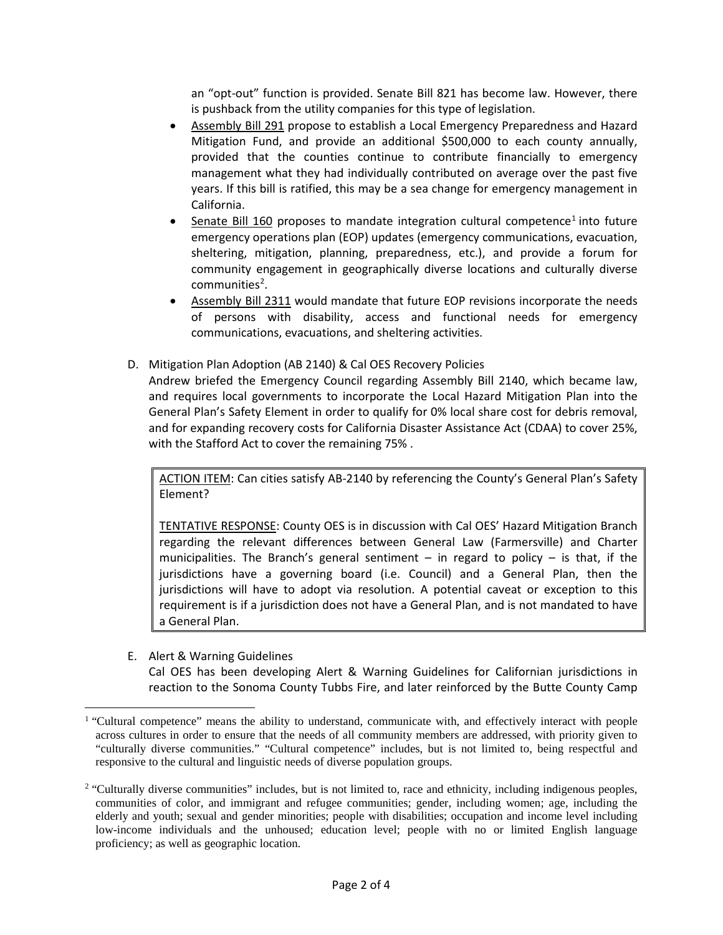an "opt-out" function is provided. Senate Bill 821 has become law. However, there is pushback from the utility companies for this type of legislation.

- Assembly Bill 291 propose to establish a Local Emergency Preparedness and Hazard Mitigation Fund, and provide an additional \$500,000 to each county annually, provided that the counties continue to contribute financially to emergency management what they had individually contributed on average over the past five years. If this bill is ratified, this may be a sea change for emergency management in California.
- Senate Bill [1](#page-1-0)60 proposes to mandate integration cultural competence<sup>1</sup> into future emergency operations plan (EOP) updates (emergency communications, evacuation, sheltering, mitigation, planning, preparedness, etc.), and provide a forum for community engagement in geographically diverse locations and culturally diverse communities<sup>[2](#page-1-1)</sup>.
- Assembly Bill 2311 would mandate that future EOP revisions incorporate the needs of persons with disability, access and functional needs for emergency communications, evacuations, and sheltering activities.
- D. Mitigation Plan Adoption (AB 2140) & Cal OES Recovery Policies Andrew briefed the Emergency Council regarding Assembly Bill 2140, which became law, and requires local governments to incorporate the Local Hazard Mitigation Plan into the General Plan's Safety Element in order to qualify for 0% local share cost for debris removal, and for expanding recovery costs for California Disaster Assistance Act (CDAA) to cover 25%, with the Stafford Act to cover the remaining 75% .

ACTION ITEM: Can cities satisfy AB-2140 by referencing the County's General Plan's Safety Element?

TENTATIVE RESPONSE: County OES is in discussion with Cal OES' Hazard Mitigation Branch regarding the relevant differences between General Law (Farmersville) and Charter municipalities. The Branch's general sentiment – in regard to policy – is that, if the jurisdictions have a governing board (i.e. Council) and a General Plan, then the jurisdictions will have to adopt via resolution. A potential caveat or exception to this requirement is if a jurisdiction does not have a General Plan, and is not mandated to have a General Plan.

E. Alert & Warning Guidelines

Cal OES has been developing Alert & Warning Guidelines for Californian jurisdictions in reaction to the Sonoma County Tubbs Fire, and later reinforced by the Butte County Camp

<span id="page-1-0"></span><sup>&</sup>lt;sup>1</sup> "Cultural competence" means the ability to understand, communicate with, and effectively interact with people across cultures in order to ensure that the needs of all community members are addressed, with priority given to "culturally diverse communities." "Cultural competence" includes, but is not limited to, being respectful and responsive to the cultural and linguistic needs of diverse population groups.

<span id="page-1-1"></span><sup>&</sup>lt;sup>2</sup> "Culturally diverse communities" includes, but is not limited to, race and ethnicity, including indigenous peoples, communities of color, and immigrant and refugee communities; gender, including women; age, including the elderly and youth; sexual and gender minorities; people with disabilities; occupation and income level including low-income individuals and the unhoused; education level; people with no or limited English language proficiency; as well as geographic location.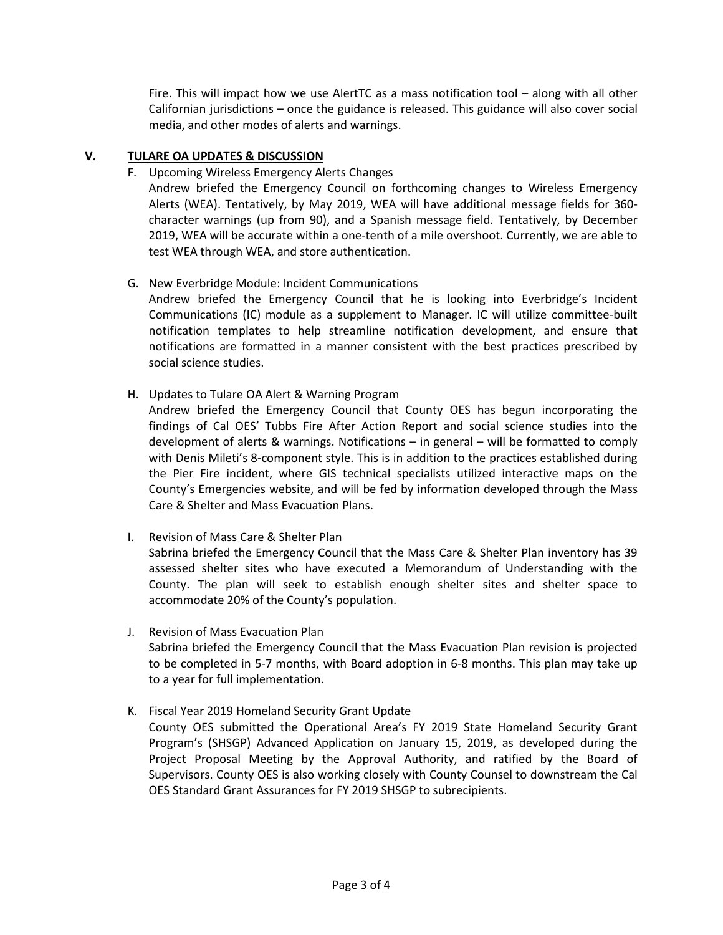Fire. This will impact how we use AlertTC as a mass notification tool – along with all other Californian jurisdictions – once the guidance is released. This guidance will also cover social media, and other modes of alerts and warnings.

## **V. TULARE OA UPDATES & DISCUSSION**

## F. Upcoming Wireless Emergency Alerts Changes

Andrew briefed the Emergency Council on forthcoming changes to Wireless Emergency Alerts (WEA). Tentatively, by May 2019, WEA will have additional message fields for 360 character warnings (up from 90), and a Spanish message field. Tentatively, by December 2019, WEA will be accurate within a one-tenth of a mile overshoot. Currently, we are able to test WEA through WEA, and store authentication.

## G. New Everbridge Module: Incident Communications

Andrew briefed the Emergency Council that he is looking into Everbridge's Incident Communications (IC) module as a supplement to Manager. IC will utilize committee-built notification templates to help streamline notification development, and ensure that notifications are formatted in a manner consistent with the best practices prescribed by social science studies.

## H. Updates to Tulare OA Alert & Warning Program

Andrew briefed the Emergency Council that County OES has begun incorporating the findings of Cal OES' Tubbs Fire After Action Report and social science studies into the development of alerts & warnings. Notifications – in general – will be formatted to comply with Denis Mileti's 8-component style. This is in addition to the practices established during the Pier Fire incident, where GIS technical specialists utilized interactive maps on the County's Emergencies website, and will be fed by information developed through the Mass Care & Shelter and Mass Evacuation Plans.

## I. Revision of Mass Care & Shelter Plan

Sabrina briefed the Emergency Council that the Mass Care & Shelter Plan inventory has 39 assessed shelter sites who have executed a Memorandum of Understanding with the County. The plan will seek to establish enough shelter sites and shelter space to accommodate 20% of the County's population.

## J. Revision of Mass Evacuation Plan

Sabrina briefed the Emergency Council that the Mass Evacuation Plan revision is projected to be completed in 5-7 months, with Board adoption in 6-8 months. This plan may take up to a year for full implementation.

# K. Fiscal Year 2019 Homeland Security Grant Update

County OES submitted the Operational Area's FY 2019 State Homeland Security Grant Program's (SHSGP) Advanced Application on January 15, 2019, as developed during the Project Proposal Meeting by the Approval Authority, and ratified by the Board of Supervisors. County OES is also working closely with County Counsel to downstream the Cal OES Standard Grant Assurances for FY 2019 SHSGP to subrecipients.